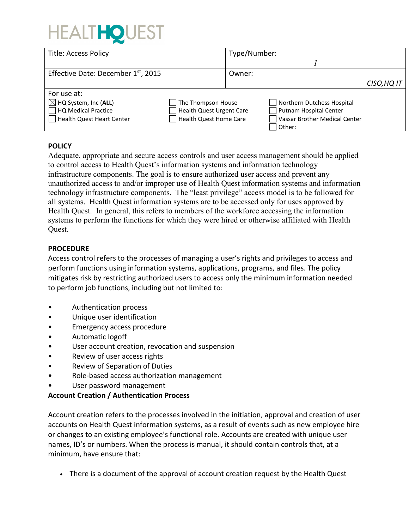# **HEALTHOL**

| <b>Title: Access Policy</b>        |                          | Type/Number: |                               |             |
|------------------------------------|--------------------------|--------------|-------------------------------|-------------|
|                                    |                          |              |                               |             |
| Effective Date: December 1st, 2015 |                          | Owner:       |                               |             |
|                                    |                          |              |                               | CISO, HQ IT |
| For use at:                        |                          |              |                               |             |
| $\boxtimes$ HQ System, Inc (ALL)   | The Thompson House       |              | Northern Dutchess Hospital    |             |
| HQ Medical Practice                | Health Quest Urgent Care |              | Putnam Hospital Center        |             |
| Health Quest Heart Center          | Health Quest Home Care   |              | Vassar Brother Medical Center |             |
|                                    |                          |              | Other:                        |             |

# **POLICY**

Adequate, appropriate and secure access controls and user access management should be applied to control access to Health Quest's information systems and information technology infrastructure components. The goal is to ensure authorized user access and prevent any unauthorized access to and/or improper use of Health Quest information systems and information technology infrastructure components. The "least privilege" access model is to be followed for all systems. Health Quest information systems are to be accessed only for uses approved by Health Quest. In general, this refers to members of the workforce accessing the information systems to perform the functions for which they were hired or otherwise affiliated with Health Quest.

# **PROCEDURE**

Access control refers to the processes of managing a user's rights and privileges to access and perform functions using information systems, applications, programs, and files. The policy mitigates risk by restricting authorized users to access only the minimum information needed to perform job functions, including but not limited to:

- Authentication process
- Unique user identification
- Emergency access procedure
- Automatic logoff
- User account creation, revocation and suspension
- Review of user access rights
- Review of Separation of Duties
- Role-based access authorization management
- User password management

# **Account Creation / Authentication Process**

Account creation refers to the processes involved in the initiation, approval and creation of user accounts on Health Quest information systems, as a result of events such as new employee hire or changes to an existing employee's functional role. Accounts are created with unique user names, ID's or numbers. When the process is manual, it should contain controls that, at a minimum, have ensure that:

• There is a document of the approval of account creation request by the Health Quest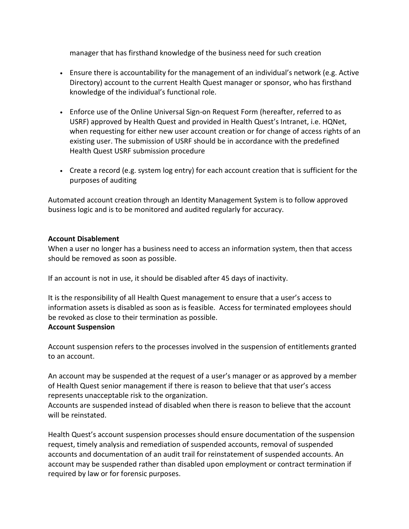manager that has firsthand knowledge of the business need for such creation

- Ensure there is accountability for the management of an individual's network (e.g. Active Directory) account to the current Health Quest manager or sponsor, who has firsthand knowledge of the individual's functional role.
- Enforce use of the Online Universal Sign-on Request Form (hereafter, referred to as USRF) approved by Health Quest and provided in Health Quest's Intranet, i.e. HQNet, when requesting for either new user account creation or for change of access rights of an existing user. The submission of USRF should be in accordance with the predefined Health Quest USRF submission procedure
- Create a record (e.g. system log entry) for each account creation that is sufficient for the purposes of auditing

Automated account creation through an Identity Management System is to follow approved business logic and is to be monitored and audited regularly for accuracy.

## **Account Disablement**

When a user no longer has a business need to access an information system, then that access should be removed as soon as possible.

If an account is not in use, it should be disabled after 45 days of inactivity.

It is the responsibility of all Health Quest management to ensure that a user's access to information assets is disabled as soon as is feasible. Access for terminated employees should be revoked as close to their termination as possible. **Account Suspension** 

# Account suspension refers to the processes involved in the suspension of entitlements granted to an account.

An account may be suspended at the request of a user's manager or as approved by a member of Health Quest senior management if there is reason to believe that that user's access represents unacceptable risk to the organization.

Accounts are suspended instead of disabled when there is reason to believe that the account will be reinstated.

Health Quest's account suspension processes should ensure documentation of the suspension request, timely analysis and remediation of suspended accounts, removal of suspended accounts and documentation of an audit trail for reinstatement of suspended accounts. An account may be suspended rather than disabled upon employment or contract termination if required by law or for forensic purposes.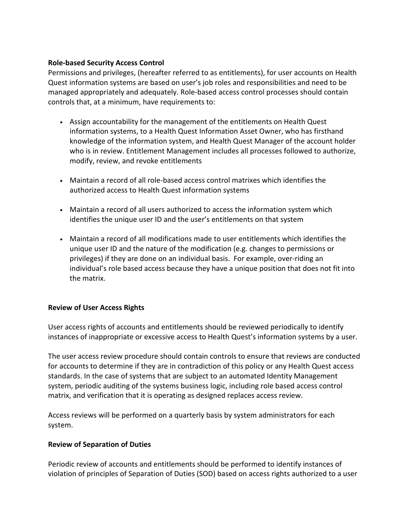## **Role-based Security Access Control**

Permissions and privileges, (hereafter referred to as entitlements), for user accounts on Health Quest information systems are based on user's job roles and responsibilities and need to be managed appropriately and adequately. Role-based access control processes should contain controls that, at a minimum, have requirements to:

- Assign accountability for the management of the entitlements on Health Quest information systems, to a Health Quest Information Asset Owner, who has firsthand knowledge of the information system, and Health Quest Manager of the account holder who is in review. Entitlement Management includes all processes followed to authorize, modify, review, and revoke entitlements
- Maintain a record of all role-based access control matrixes which identifies the authorized access to Health Quest information systems
- Maintain a record of all users authorized to access the information system which identifies the unique user ID and the user's entitlements on that system
- Maintain a record of all modifications made to user entitlements which identifies the unique user ID and the nature of the modification (e.g. changes to permissions or privileges) if they are done on an individual basis. For example, over-riding an individual's role based access because they have a unique position that does not fit into the matrix.

## **Review of User Access Rights**

User access rights of accounts and entitlements should be reviewed periodically to identify instances of inappropriate or excessive access to Health Quest's information systems by a user.

The user access review procedure should contain controls to ensure that reviews are conducted for accounts to determine if they are in contradiction of this policy or any Health Quest access standards. In the case of systems that are subject to an automated Identity Management system, periodic auditing of the systems business logic, including role based access control matrix, and verification that it is operating as designed replaces access review.

Access reviews will be performed on a quarterly basis by system administrators for each system.

## **Review of Separation of Duties**

Periodic review of accounts and entitlements should be performed to identify instances of violation of principles of Separation of Duties (SOD) based on access rights authorized to a user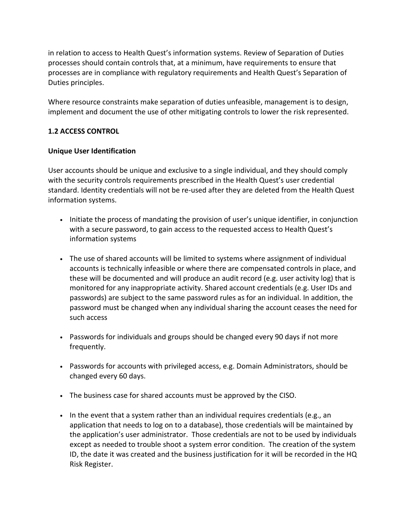in relation to access to Health Quest's information systems. Review of Separation of Duties processes should contain controls that, at a minimum, have requirements to ensure that processes are in compliance with regulatory requirements and Health Quest's Separation of Duties principles.

Where resource constraints make separation of duties unfeasible, management is to design, implement and document the use of other mitigating controls to lower the risk represented.

# **1.2 ACCESS CONTROL**

# **Unique User Identification**

User accounts should be unique and exclusive to a single individual, and they should comply with the security controls requirements prescribed in the Health Quest's user credential standard. Identity credentials will not be re-used after they are deleted from the Health Quest information systems.

- Initiate the process of mandating the provision of user's unique identifier, in conjunction with a secure password, to gain access to the requested access to Health Quest's information systems
- The use of shared accounts will be limited to systems where assignment of individual accounts is technically infeasible or where there are compensated controls in place, and these will be documented and will produce an audit record (e.g. user activity log) that is monitored for any inappropriate activity. Shared account credentials (e.g. User IDs and passwords) are subject to the same password rules as for an individual. In addition, the password must be changed when any individual sharing the account ceases the need for such access
- Passwords for individuals and groups should be changed every 90 days if not more frequently.
- Passwords for accounts with privileged access, e.g. Domain Administrators, should be changed every 60 days.
- The business case for shared accounts must be approved by the CISO.
- In the event that a system rather than an individual requires credentials (e.g., an application that needs to log on to a database), those credentials will be maintained by the application's user administrator. Those credentials are not to be used by individuals except as needed to trouble shoot a system error condition. The creation of the system ID, the date it was created and the business justification for it will be recorded in the HQ Risk Register.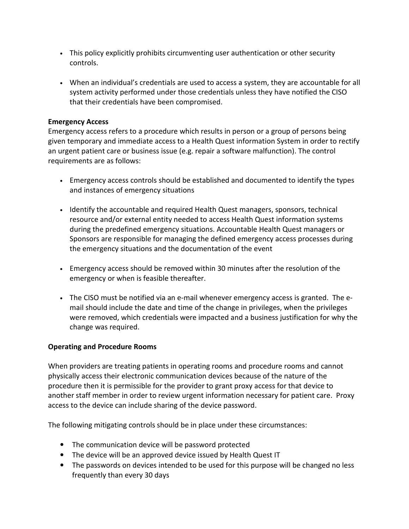- This policy explicitly prohibits circumventing user authentication or other security controls.
- When an individual's credentials are used to access a system, they are accountable for all system activity performed under those credentials unless they have notified the CISO that their credentials have been compromised.

## **Emergency Access**

Emergency access refers to a procedure which results in person or a group of persons being given temporary and immediate access to a Health Quest information System in order to rectify an urgent patient care or business issue (e.g. repair a software malfunction). The control requirements are as follows:

- Emergency access controls should be established and documented to identify the types and instances of emergency situations
- Identify the accountable and required Health Quest managers, sponsors, technical resource and/or external entity needed to access Health Quest information systems during the predefined emergency situations. Accountable Health Quest managers or Sponsors are responsible for managing the defined emergency access processes during the emergency situations and the documentation of the event
- Emergency access should be removed within 30 minutes after the resolution of the emergency or when is feasible thereafter.
- The CISO must be notified via an e-mail whenever emergency access is granted. The email should include the date and time of the change in privileges, when the privileges were removed, which credentials were impacted and a business justification for why the change was required.

# **Operating and Procedure Rooms**

When providers are treating patients in operating rooms and procedure rooms and cannot physically access their electronic communication devices because of the nature of the procedure then it is permissible for the provider to grant proxy access for that device to another staff member in order to review urgent information necessary for patient care. Proxy access to the device can include sharing of the device password.

The following mitigating controls should be in place under these circumstances:

- The communication device will be password protected
- The device will be an approved device issued by Health Quest IT
- The passwords on devices intended to be used for this purpose will be changed no less frequently than every 30 days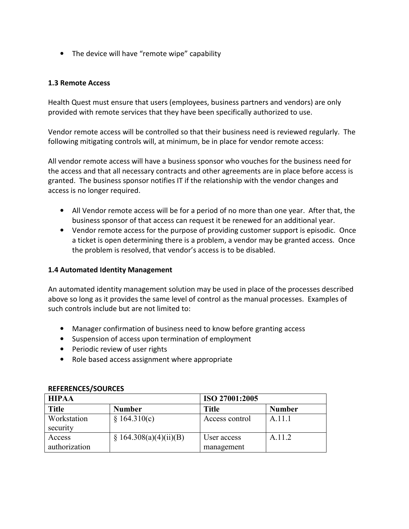• The device will have "remote wipe" capability

## **1.3 Remote Access**

Health Quest must ensure that users (employees, business partners and vendors) are only provided with remote services that they have been specifically authorized to use.

Vendor remote access will be controlled so that their business need is reviewed regularly. The following mitigating controls will, at minimum, be in place for vendor remote access:

All vendor remote access will have a business sponsor who vouches for the business need for the access and that all necessary contracts and other agreements are in place before access is granted. The business sponsor notifies IT if the relationship with the vendor changes and access is no longer required.

- All Vendor remote access will be for a period of no more than one year. After that, the business sponsor of that access can request it be renewed for an additional year.
- Vendor remote access for the purpose of providing customer support is episodic. Once a ticket is open determining there is a problem, a vendor may be granted access. Once the problem is resolved, that vendor's access is to be disabled.

## **1.4 Automated Identity Management**

An automated identity management solution may be used in place of the processes described above so long as it provides the same level of control as the manual processes. Examples of such controls include but are not limited to:

- Manager confirmation of business need to know before granting access
- Suspension of access upon termination of employment
- Periodic review of user rights
- Role based access assignment where appropriate

| <b>HIPAA</b>            |                        | ISO 27001:2005            |               |  |
|-------------------------|------------------------|---------------------------|---------------|--|
| <b>Title</b>            | <b>Number</b>          | Title                     | <b>Number</b> |  |
| Workstation<br>security | \$164.310(c)           | Access control            | A.11.1        |  |
| Access<br>authorization | \$164.308(a)(4)(ii)(B) | User access<br>management | A.11.2        |  |

#### **REFERENCES/SOURCES**